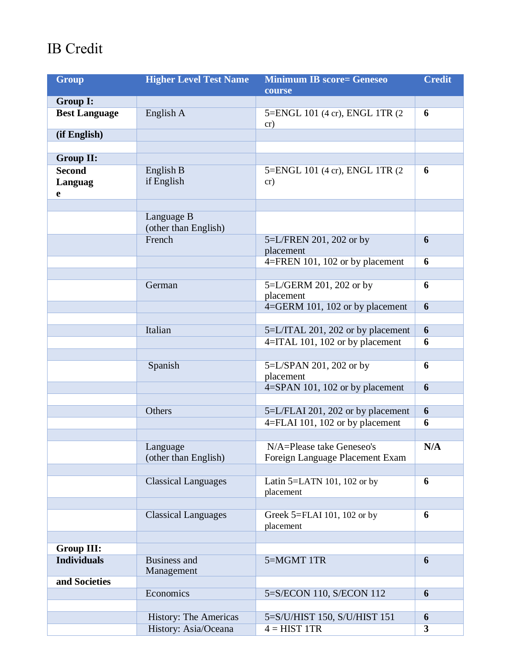## IB Credit

| <b>Group</b>         | <b>Higher Level Test Name</b> | <b>Minimum IB score= Geneseo</b>             | <b>Credit</b> |
|----------------------|-------------------------------|----------------------------------------------|---------------|
|                      |                               | course                                       |               |
| Group I:             |                               |                                              |               |
| <b>Best Language</b> | English A                     | 5=ENGL 101 (4 cr), ENGL 1TR (2               | 6             |
| (if English)         |                               | cr)                                          |               |
|                      |                               |                                              |               |
| <b>Group II:</b>     |                               |                                              |               |
| <b>Second</b>        | English B                     | 5=ENGL 101 (4 cr), ENGL 1TR (2)              | 6             |
| Languag              | if English                    | cr)                                          |               |
| e                    |                               |                                              |               |
|                      |                               |                                              |               |
|                      | Language B                    |                                              |               |
|                      | (other than English)          |                                              |               |
|                      | French                        | 5=L/FREN 201, 202 or by                      | 6             |
|                      |                               | placement                                    |               |
|                      |                               | 4=FREN 101, 102 or by placement              | 6             |
|                      |                               |                                              |               |
|                      | German                        | 5=L/GERM 201, 202 or by                      | 6             |
|                      |                               | placement<br>4=GERM 101, 102 or by placement | 6             |
|                      |                               |                                              |               |
|                      | Italian                       | 5=L/ITAL 201, 202 or by placement            | 6             |
|                      |                               | 4=ITAL 101, 102 or by placement              | 6             |
|                      |                               |                                              |               |
|                      | Spanish                       | 5=L/SPAN 201, 202 or by                      | 6             |
|                      |                               | placement                                    |               |
|                      |                               | 4=SPAN 101, 102 or by placement              | 6             |
|                      |                               |                                              |               |
|                      | Others                        | 5=L/FLAI 201, 202 or by placement            | 6             |
|                      |                               | 4=FLAI 101, 102 or by placement              | 6             |
|                      |                               |                                              |               |
|                      | Language                      | N/A=Please take Geneseo's                    | N/A           |
|                      | (other than English)          | Foreign Language Placement Exam              |               |
|                      |                               |                                              |               |
|                      | <b>Classical Languages</b>    | Latin $5=$ LATN 101, 102 or by               | 6             |
|                      |                               | placement                                    |               |
|                      | <b>Classical Languages</b>    | Greek 5=FLAI 101, 102 or by                  | 6             |
|                      |                               | placement                                    |               |
|                      |                               |                                              |               |
| <b>Group III:</b>    |                               |                                              |               |
| <b>Individuals</b>   | <b>Business and</b>           | 5=MGMT 1TR                                   | 6             |
|                      | Management                    |                                              |               |
| and Societies        |                               |                                              |               |
|                      | Economics                     | 5=S/ECON 110, S/ECON 112                     | 6             |
|                      |                               |                                              |               |
|                      | History: The Americas         | 5=S/U/HIST 150, S/U/HIST 151                 | 6             |
|                      | History: Asia/Oceana          | $4 = HIST 1TR$                               | 3             |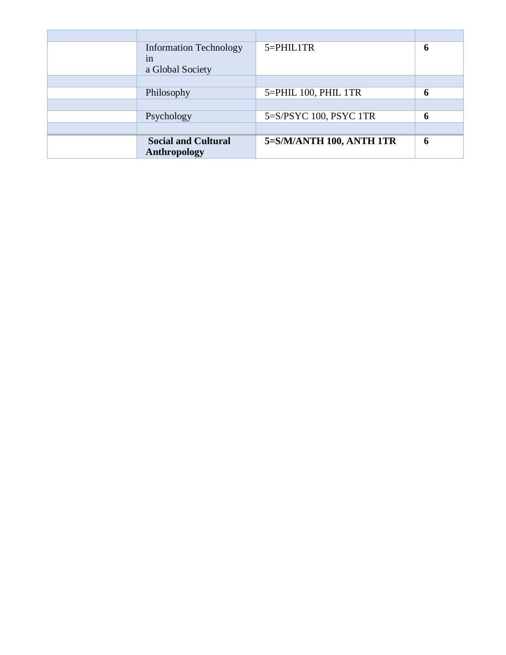| <b>Information Technology</b> | 5=PHIL1TR                | 6 |
|-------------------------------|--------------------------|---|
| 1n                            |                          |   |
| a Global Society              |                          |   |
|                               |                          |   |
| Philosophy                    | 5=PHIL 100, PHIL 1TR     | 6 |
|                               |                          |   |
| Psychology                    | 5=S/PSYC 100, PSYC 1TR   | 6 |
|                               |                          |   |
| <b>Social and Cultural</b>    | 5=S/M/ANTH 100, ANTH 1TR | 6 |
| Anthropology                  |                          |   |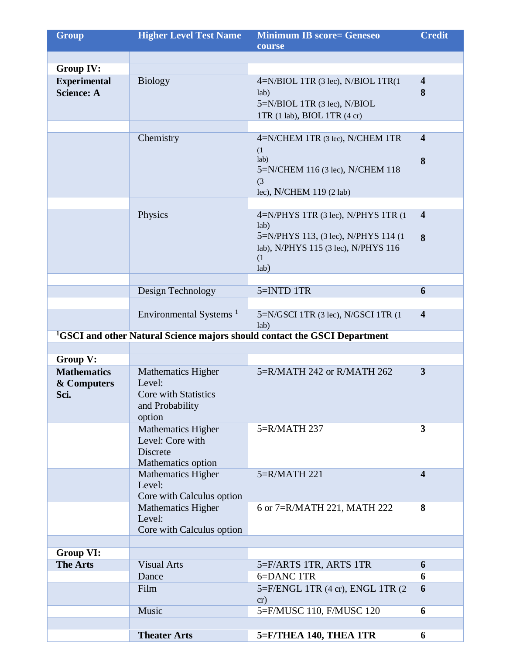| <b>Group</b>                                          | <b>Higher Level Test Name</b>                                                            | <b>Minimum IB score= Geneseo</b>                                                                                                            | <b>Credit</b>                |
|-------------------------------------------------------|------------------------------------------------------------------------------------------|---------------------------------------------------------------------------------------------------------------------------------------------|------------------------------|
|                                                       |                                                                                          | course                                                                                                                                      |                              |
| <b>Group IV:</b>                                      |                                                                                          |                                                                                                                                             |                              |
| <b>Experimental</b><br><b>Science: A</b>              | <b>Biology</b>                                                                           | $4=N/BIOL$ 1TR (3 lec), N/BIOL 1TR(1<br>lab)<br>5=N/BIOL 1TR (3 lec), N/BIOL<br>1TR (1 lab), BIOL 1TR (4 cr)                                | $\overline{\mathbf{4}}$<br>8 |
|                                                       |                                                                                          |                                                                                                                                             |                              |
|                                                       | Chemistry                                                                                | 4=N/CHEM 1TR (3 lec), N/CHEM 1TR<br>(1)<br>lab)<br>5=N/CHEM 116 (3 lec), N/CHEM 118<br>(3)<br>lec), N/CHEM 119 (2 lab)                      | $\overline{4}$<br>8          |
|                                                       |                                                                                          |                                                                                                                                             | $\overline{\mathbf{4}}$      |
|                                                       | Physics                                                                                  | 4=N/PHYS 1TR (3 lec), N/PHYS 1TR (1<br>lab)<br>5=N/PHYS 113, (3 lec), N/PHYS 114 (1)<br>lab), N/PHYS 115 (3 lec), N/PHYS 116<br>(1)<br>lab) | 8                            |
|                                                       | Design Technology                                                                        | 5=INTD 1TR                                                                                                                                  | 6                            |
|                                                       |                                                                                          |                                                                                                                                             |                              |
|                                                       | Environmental Systems <sup>1</sup>                                                       | 5=N/GSCI 1TR (3 lec), N/GSCI 1TR (1<br>lab)                                                                                                 | $\overline{\mathbf{4}}$      |
|                                                       |                                                                                          | <sup>1</sup> GSCI and other Natural Science majors should contact the GSCI Department                                                       |                              |
|                                                       |                                                                                          |                                                                                                                                             |                              |
| Group V:<br><b>Mathematics</b><br>& Computers<br>Sci. | <b>Mathematics Higher</b><br>Level:<br>Core with Statistics<br>and Probability<br>option | 5=R/MATH 242 or R/MATH 262                                                                                                                  | $\mathbf{3}$                 |
|                                                       | Mathematics Higher<br>Level: Core with<br>Discrete<br>Mathematics option                 | 5=R/MATH 237                                                                                                                                | $\mathbf{3}$                 |
|                                                       | Mathematics Higher<br>Level:<br>Core with Calculus option                                | $5=R/MATH$ 221                                                                                                                              | $\overline{\mathbf{4}}$      |
|                                                       | <b>Mathematics Higher</b><br>Level:<br>Core with Calculus option                         | 6 or 7=R/MATH 221, MATH 222                                                                                                                 | 8                            |
|                                                       |                                                                                          |                                                                                                                                             |                              |
| <b>Group VI:</b>                                      |                                                                                          |                                                                                                                                             |                              |
| <b>The Arts</b>                                       | <b>Visual Arts</b>                                                                       | 5=F/ARTS 1TR, ARTS 1TR                                                                                                                      | 6                            |
|                                                       | Dance<br>Film                                                                            | 6=DANC 1TR<br>5=F/ENGL 1TR (4 cr), ENGL 1TR (2<br>cr)                                                                                       | 6<br>6                       |
|                                                       | Music                                                                                    | 5=F/MUSC 110, F/MUSC 120                                                                                                                    | 6                            |
|                                                       |                                                                                          |                                                                                                                                             |                              |
|                                                       | <b>Theater Arts</b>                                                                      | 5=F/THEA 140, THEA 1TR                                                                                                                      | 6                            |